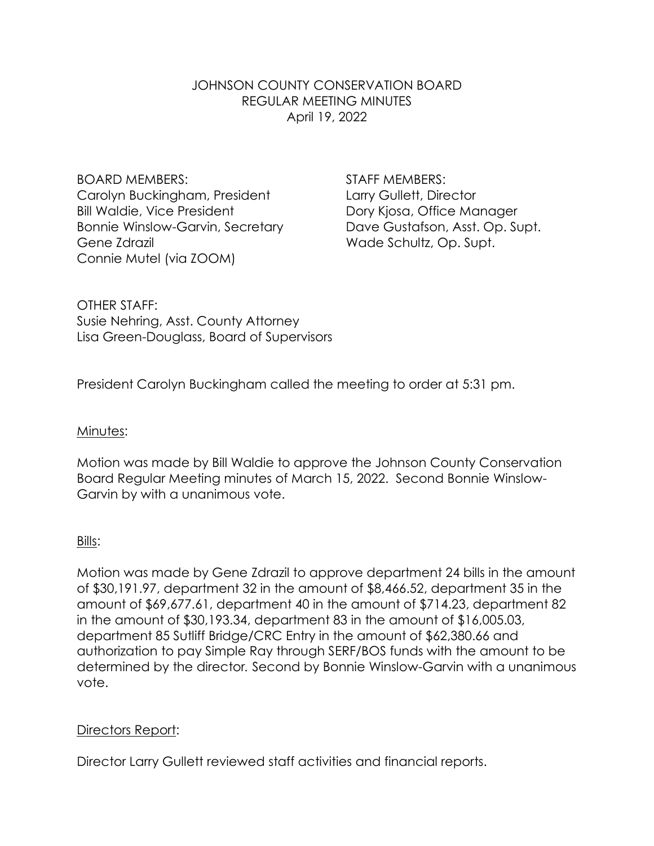#### JOHNSON COUNTY CONSERVATION BOARD REGULAR MEETING MINUTES April 19, 2022

BOARD MEMBERS: STAFF MEMBERS: Carolyn Buckingham, President Larry Gullett, Director Bill Waldie, Vice President **Dory Kiosa**, Office Manager Bonnie Winslow-Garvin, Secretary Dave Gustafson, Asst. Op. Supt. Gene Zdrazil **Grand Controller Controller Schultz**, Op. Supt. Connie Mutel (via ZOOM)

OTHER STAFF: Susie Nehring, Asst. County Attorney Lisa Green-Douglass, Board of Supervisors

President Carolyn Buckingham called the meeting to order at 5:31 pm.

#### Minutes:

Motion was made by Bill Waldie to approve the Johnson County Conservation Board Regular Meeting minutes of March 15, 2022. Second Bonnie Winslow-Garvin by with a unanimous vote.

#### Bills:

Motion was made by Gene Zdrazil to approve department 24 bills in the amount of \$30,191.97, department 32 in the amount of \$8,466.52, department 35 in the amount of \$69,677.61, department 40 in the amount of \$714.23, department 82 in the amount of \$30,193.34, department 83 in the amount of \$16,005.03, department 85 Sutliff Bridge/CRC Entry in the amount of \$62,380.66 and authorization to pay Simple Ray through SERF/BOS funds with the amount to be determined by the director*.* Second by Bonnie Winslow-Garvin with a unanimous vote.

#### Directors Report:

Director Larry Gullett reviewed staff activities and financial reports.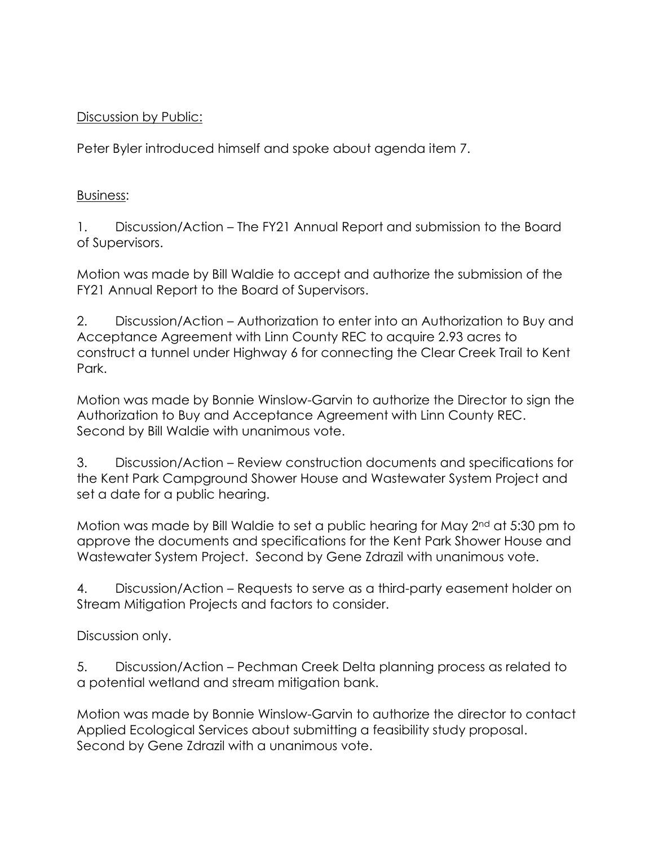### Discussion by Public:

Peter Byler introduced himself and spoke about agenda item 7.

## Business:

1. Discussion/Action – The FY21 Annual Report and submission to the Board of Supervisors.

Motion was made by Bill Waldie to accept and authorize the submission of the FY21 Annual Report to the Board of Supervisors.

2. Discussion/Action – Authorization to enter into an Authorization to Buy and Acceptance Agreement with Linn County REC to acquire 2.93 acres to construct a tunnel under Highway 6 for connecting the Clear Creek Trail to Kent Park.

Motion was made by Bonnie Winslow-Garvin to authorize the Director to sign the Authorization to Buy and Acceptance Agreement with Linn County REC. Second by Bill Waldie with unanimous vote.

3. Discussion/Action – Review construction documents and specifications for the Kent Park Campground Shower House and Wastewater System Project and set a date for a public hearing.

Motion was made by Bill Waldie to set a public hearing for May 2nd at 5:30 pm to approve the documents and specifications for the Kent Park Shower House and Wastewater System Project. Second by Gene Zdrazil with unanimous vote.

4. Discussion/Action – Requests to serve as a third-party easement holder on Stream Mitigation Projects and factors to consider.

Discussion only.

5. Discussion/Action – Pechman Creek Delta planning process as related to a potential wetland and stream mitigation bank.

Motion was made by Bonnie Winslow-Garvin to authorize the director to contact Applied Ecological Services about submitting a feasibility study proposal. Second by Gene Zdrazil with a unanimous vote.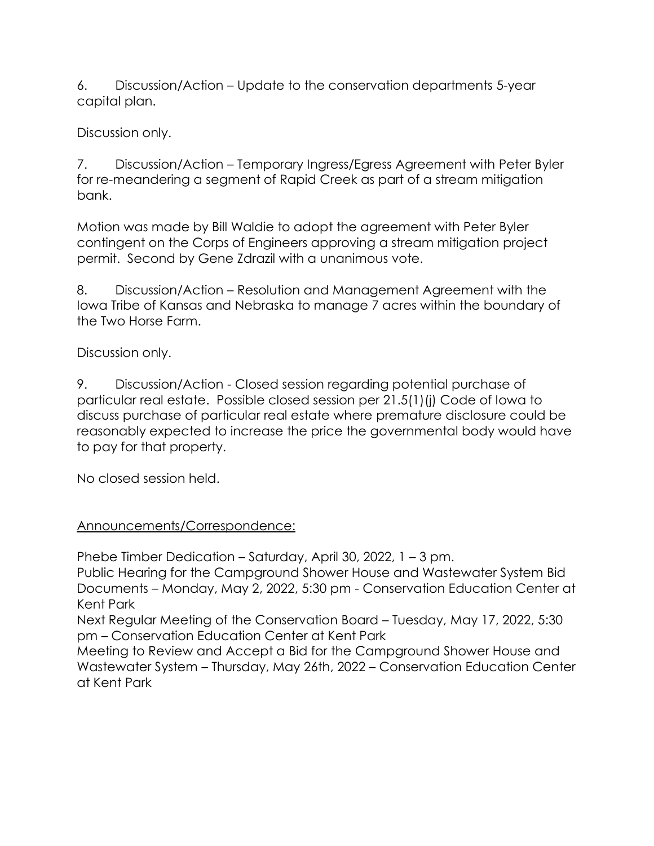6. Discussion/Action – Update to the conservation departments 5-year capital plan.

Discussion only.

7. Discussion/Action – Temporary Ingress/Egress Agreement with Peter Byler for re-meandering a segment of Rapid Creek as part of a stream mitigation bank.

Motion was made by Bill Waldie to adopt the agreement with Peter Byler contingent on the Corps of Engineers approving a stream mitigation project permit. Second by Gene Zdrazil with a unanimous vote.

8. Discussion/Action – Resolution and Management Agreement with the Iowa Tribe of Kansas and Nebraska to manage 7 acres within the boundary of the Two Horse Farm.

Discussion only.

9. Discussion/Action - Closed session regarding potential purchase of particular real estate. Possible closed session per 21.5(1)(j) Code of Iowa to discuss purchase of particular real estate where premature disclosure could be reasonably expected to increase the price the governmental body would have to pay for that property.

No closed session held.

# Announcements/Correspondence:

Phebe Timber Dedication – Saturday, April 30, 2022, 1 – 3 pm.

Public Hearing for the Campground Shower House and Wastewater System Bid Documents – Monday, May 2, 2022, 5:30 pm - Conservation Education Center at Kent Park

Next Regular Meeting of the Conservation Board – Tuesday, May 17, 2022, 5:30 pm – Conservation Education Center at Kent Park

Meeting to Review and Accept a Bid for the Campground Shower House and Wastewater System – Thursday, May 26th, 2022 – Conservation Education Center at Kent Park